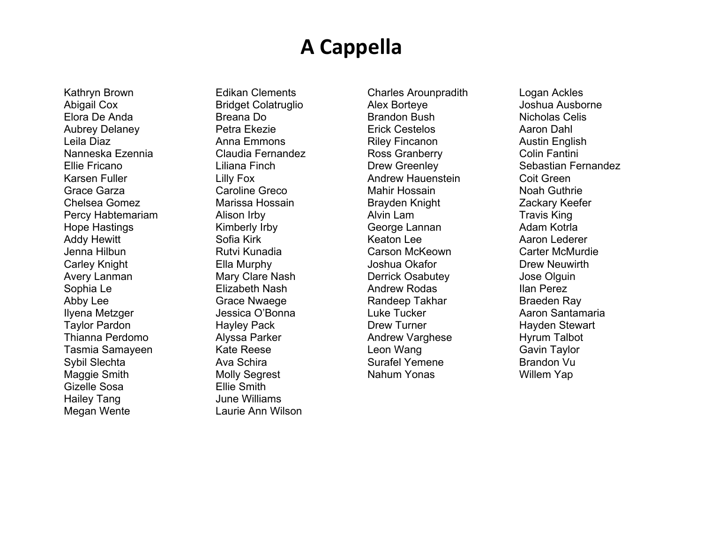### **A Cappella**

Kathryn Brown Abigail Cox Elora De Anda Aubrey Delaney Leila Diaz Nanneska Ezennia Ellie Fricano Karsen Fuller Grace Garza Chelsea Gomez Percy Habtemariam Hope Hastings Addy Hewitt Jenna Hilbun Carley Knight Avery Lanman Sophia Le Abby Lee Ilyena Metzger Taylor Pardon Thianna Perdomo Tasmia Samayeen Sybil Slechta Maggie Smith Gizelle Sosa Hailey Tang Megan Wente

Edikan Clements Bridget Colatruglio Breana Do Petra Ekezie Anna Emmons Claudia Fernandez Liliana Finch Lilly Fox Caroline Greco Marissa Hossain Alison Irby Kimberly Irby Sofia Kirk Rutvi Kunadia Ella Murphy Mary Clare Nash Elizabeth Nash Grace Nwaege Jessica O'Bonna Hayley Pack Alyssa Parker Kate Reese Ava Schira Molly Segrest Ellie Smith June Williams Laurie Ann Wilson

Charles Arounpradith Alex Borteye Brandon Bush Erick Cestelos Riley Fincanon Ross Granberry Drew Greenley Andrew Hauenstein Mahir Hossain Brayden Knight Alvin Lam George Lannan Keaton Lee Carson McKeown Joshua Okafor Derrick Osabutey Andrew Rodas Randeep Takhar Luke Tucker Drew Turner Andrew Varghese Leon Wang Surafel Yemene Nahum Yonas

Logan Ackles Joshua Ausborne Nicholas Celis Aaron Dahl Austin English Colin Fantini Sebastian Fernandez Coit Green Noah Guthrie Zackary Keefer Travis King Adam Kotrla Aaron Lederer Carter McMurdie Drew Neuwirth Jose Olguin Ilan Perez Braeden Ray Aaron Santamaria Hayden Stewart Hyrum Talbot Gavin Taylor Brandon Vu Willem Yap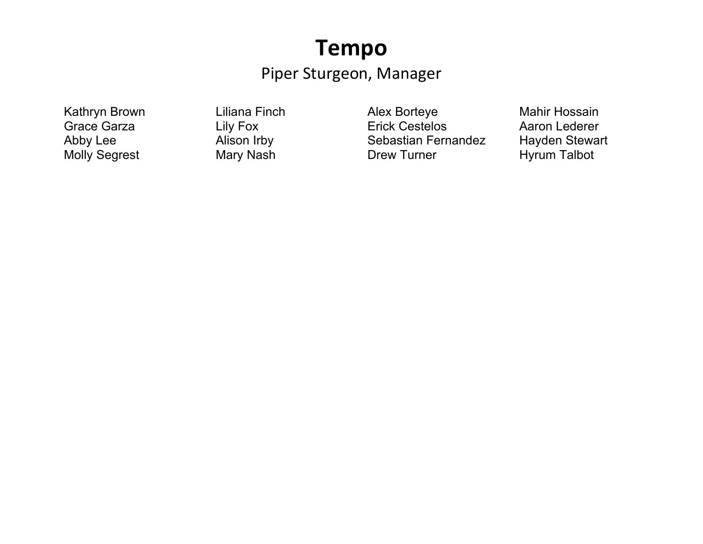#### **Tempo**

#### Piper Sturgeon, Manager

Kathryn Brown Grace Garza Abby Lee Molly Segrest

Liliana Finch Lily Fox Alison Irby Mary Nash

Alex Borteye Erick Cestelos Sebastian Fernandez Drew Turner

Mahir Hossain Aaron Lederer Hayden Stewart Hyrum Talbot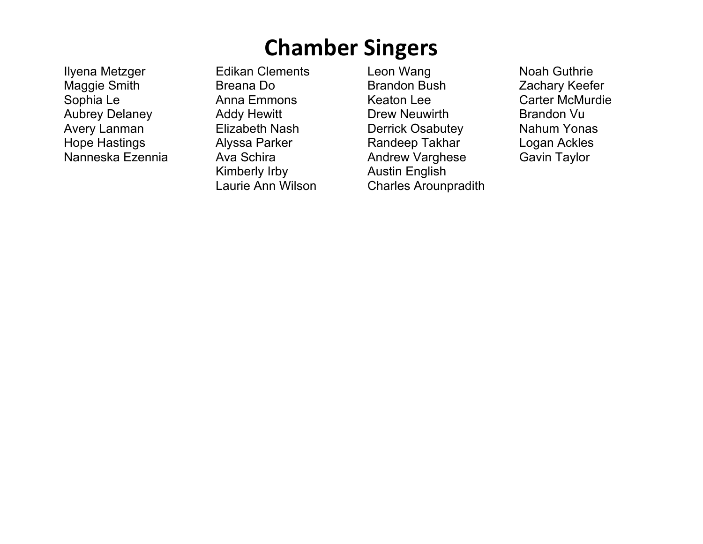# **Chamber Singers**

Ilyena Metzger Maggie Smith Sophia Le Aubrey Delaney Avery Lanman Hope Hastings Nanneska Ezennia Edikan Clements Breana Do Anna Emmons Addy Hewitt Elizabeth Nash Alyssa Parker Ava Schira Kimberly Irby Laurie Ann Wilson

Leon Wang Brandon Bush Keaton Lee Drew Neuwirth Derrick Osabutey Randeep Takhar Andrew Varghese Austin English Charles Arounpradith

Noah Guthrie Zachary Keefer Carter McMurdie Brandon Vu Nahum Yonas Logan Ackles Gavin Taylor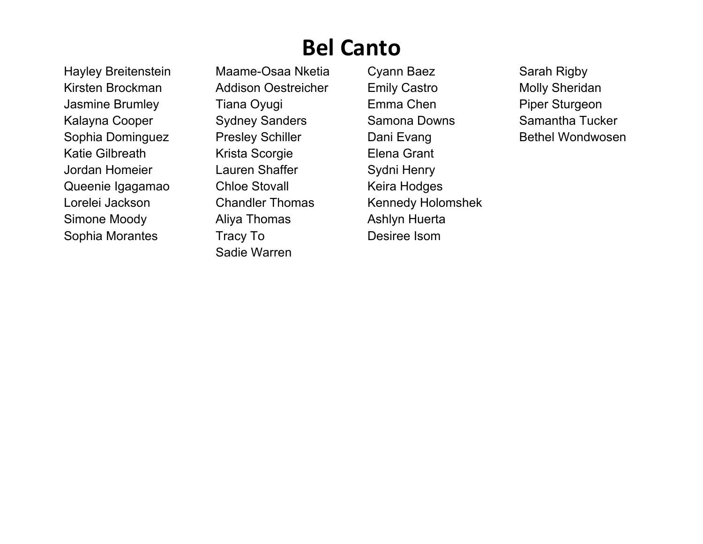# **Bel Canto**

Hayley Breitenstein Kirsten Brockman Jasmine Brumley Kalayna Cooper Sophia Dominguez Katie Gilbreath Jordan Homeier Queenie Igagamao Lorelei Jackson Simone Moody Sophia Morantes

Maame-Osaa Nketia Addison Oestreicher Tiana Oyugi Sydney Sanders Presley Schiller Krista Scorgie Lauren Shaffer Chloe Stovall Chandler Thomas Aliya Thomas Tracy To Sadie Warren

Cyann Baez Emily Castro Emma Chen Samona Downs Dani Evang Elena Grant Sydni Henry Keira Hodges Kennedy Holomshek Ashlyn Huerta Desiree Isom

Sarah Rigby Molly Sheridan Piper Sturgeon Samantha Tucker Bethel Wondwosen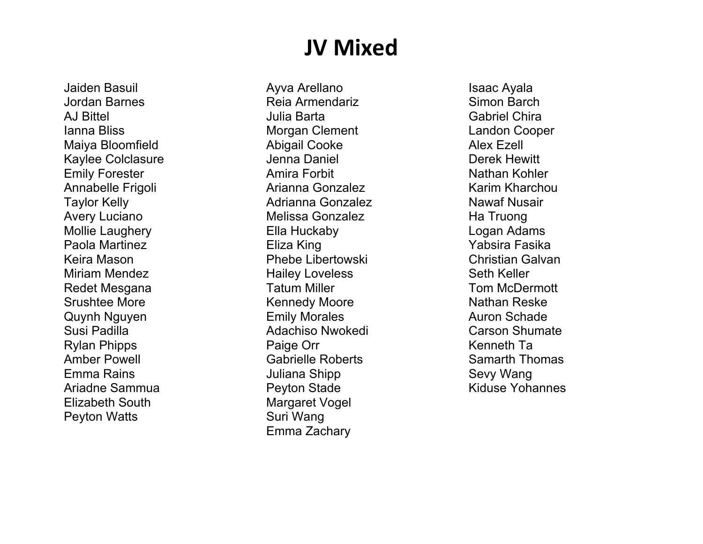# **JV Mixed**

Jaiden Basuil Jordan Barnes AJ Bittel Ianna Bliss Maiya Bloomfield Kaylee Colclasure Emily Forester Annabelle Frigoli Taylor Kelly Avery Luciano Mollie Laughery Paola Martinez Keira Mason Miriam Mendez Redet Mesgana Srushtee More Quynh Nguyen Susi Padilla Rylan Phipps Amber Powell Emma Rains Ariadne Sammua Elizabeth South Peyton Watts

Ayva Arellano Reia Armendariz Julia Barta Morgan Clement Abigail Cooke Jenna Daniel Amira Forbit Arianna Gonzalez Adrianna Gonzalez Melissa Gonzalez Ella Huckaby Eliza King Phebe Libertowski Hailey Loveless Tatum Miller Kennedy Moore Emily Morales Adachiso Nwokedi Paige Orr Gabrielle Roberts Juliana Shipp Peyton Stade Margaret Vogel Suri Wang Emma Zachary

Isaac Ayala Simon Barch Gabriel Chira Landon Cooper Alex Ezell Derek Hewitt Nathan Kohler Karim Kharchou Nawaf Nusair Ha Truong Logan Adams Yabsira Fasika Christian Galvan Seth Keller Tom McDermott Nathan Reske Auron Schade Carson Shumate Kenneth Ta Samarth Thomas Sevy Wang Kiduse Yohannes